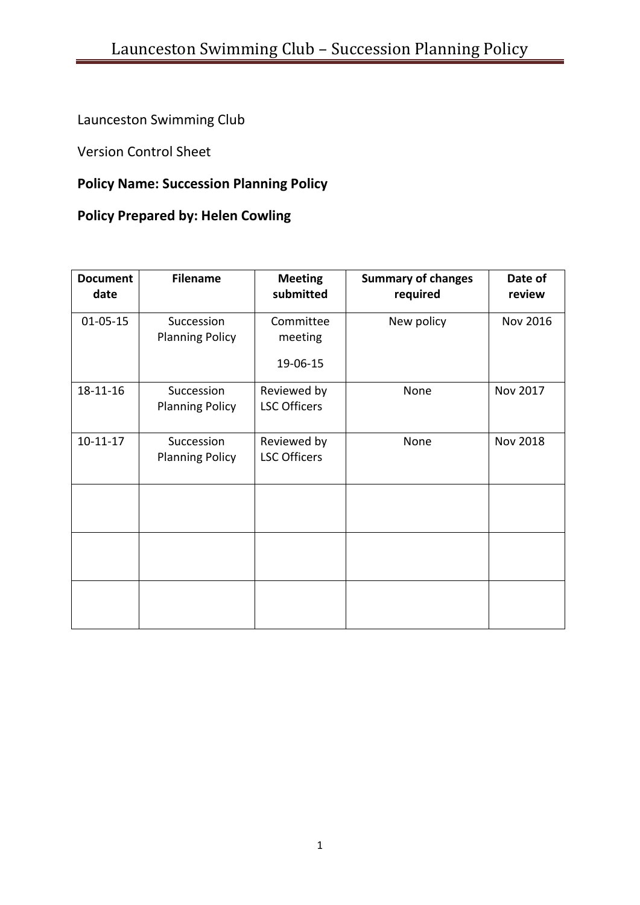Launceston Swimming Club

Version Control Sheet

# **Policy Name: Succession Planning Policy**

# **Policy Prepared by: Helen Cowling**

| <b>Document</b><br>date | <b>Filename</b>                      | <b>Meeting</b><br>submitted        | <b>Summary of changes</b><br>required | Date of<br>review |
|-------------------------|--------------------------------------|------------------------------------|---------------------------------------|-------------------|
| $01 - 05 - 15$          | Succession<br><b>Planning Policy</b> | Committee<br>meeting<br>19-06-15   | New policy                            | <b>Nov 2016</b>   |
| 18-11-16                | Succession<br><b>Planning Policy</b> | Reviewed by<br><b>LSC Officers</b> | None                                  | Nov 2017          |
| $10-11-17$              | Succession<br><b>Planning Policy</b> | Reviewed by<br><b>LSC Officers</b> | None                                  | <b>Nov 2018</b>   |
|                         |                                      |                                    |                                       |                   |
|                         |                                      |                                    |                                       |                   |
|                         |                                      |                                    |                                       |                   |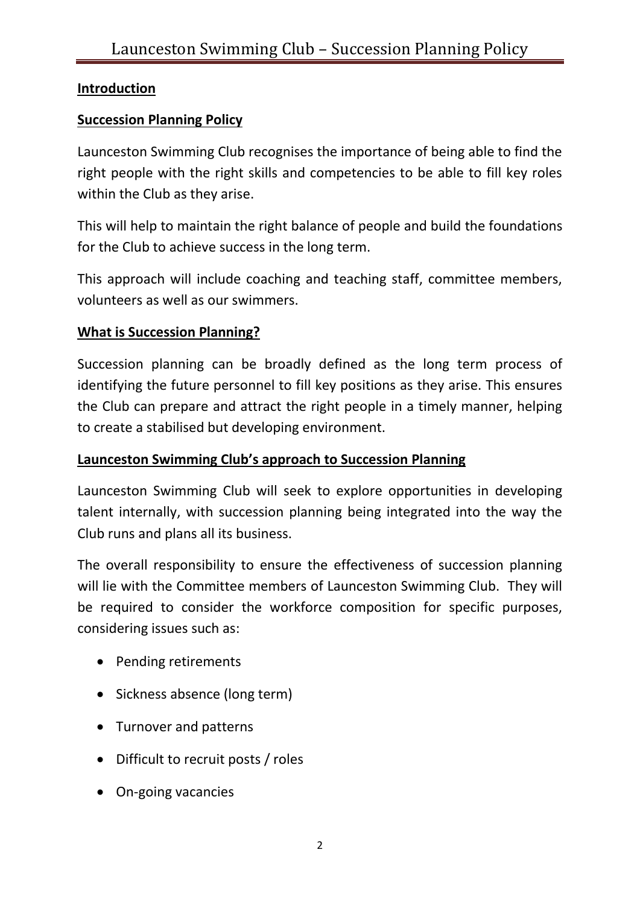## **Introduction**

## **Succession Planning Policy**

Launceston Swimming Club recognises the importance of being able to find the right people with the right skills and competencies to be able to fill key roles within the Club as they arise.

This will help to maintain the right balance of people and build the foundations for the Club to achieve success in the long term.

This approach will include coaching and teaching staff, committee members, volunteers as well as our swimmers.

### **What is Succession Planning?**

Succession planning can be broadly defined as the long term process of identifying the future personnel to fill key positions as they arise. This ensures the Club can prepare and attract the right people in a timely manner, helping to create a stabilised but developing environment.

### **Launceston Swimming Club's approach to Succession Planning**

Launceston Swimming Club will seek to explore opportunities in developing talent internally, with succession planning being integrated into the way the Club runs and plans all its business.

The overall responsibility to ensure the effectiveness of succession planning will lie with the Committee members of Launceston Swimming Club. They will be required to consider the workforce composition for specific purposes, considering issues such as:

- Pending retirements
- Sickness absence (long term)
- Turnover and patterns
- Difficult to recruit posts / roles
- On-going vacancies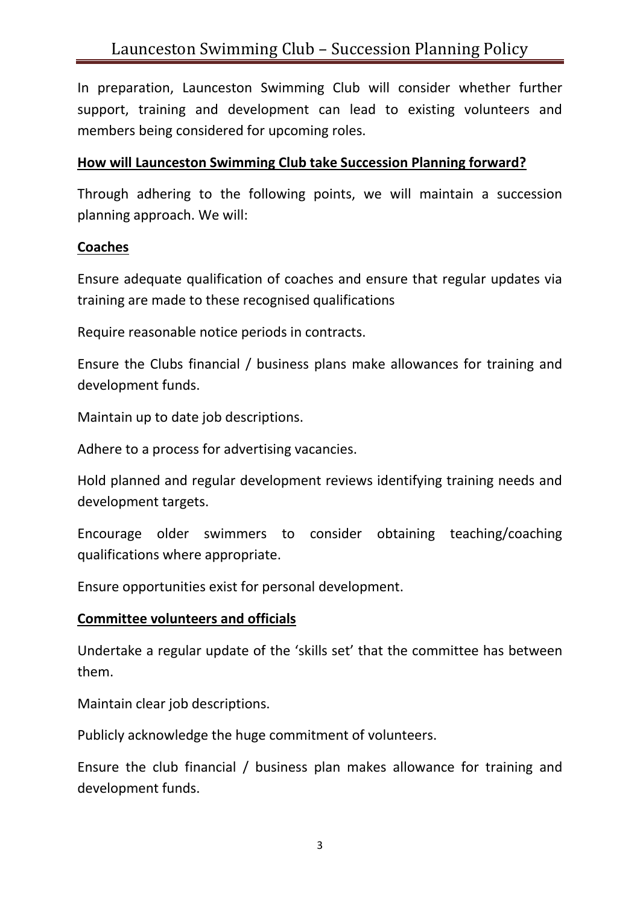In preparation, Launceston Swimming Club will consider whether further support, training and development can lead to existing volunteers and members being considered for upcoming roles.

#### **How will Launceston Swimming Club take Succession Planning forward?**

Through adhering to the following points, we will maintain a succession planning approach. We will:

#### **Coaches**

Ensure adequate qualification of coaches and ensure that regular updates via training are made to these recognised qualifications

Require reasonable notice periods in contracts.

Ensure the Clubs financial / business plans make allowances for training and development funds.

Maintain up to date job descriptions.

Adhere to a process for advertising vacancies.

Hold planned and regular development reviews identifying training needs and development targets.

Encourage older swimmers to consider obtaining teaching/coaching qualifications where appropriate.

Ensure opportunities exist for personal development.

### **Committee volunteers and officials**

Undertake a regular update of the 'skills set' that the committee has between them.

Maintain clear job descriptions.

Publicly acknowledge the huge commitment of volunteers.

Ensure the club financial / business plan makes allowance for training and development funds.